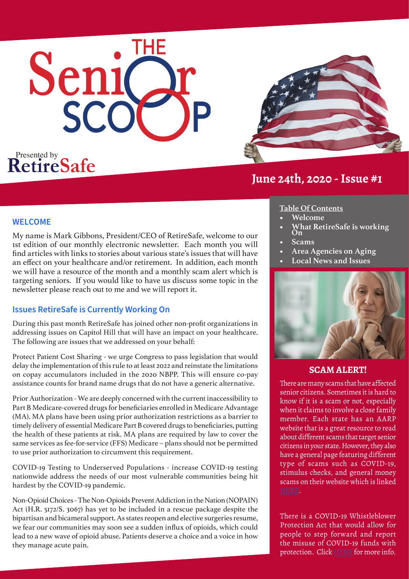# Senic SCO

**RetireSafe** 



#### **WELCOME**

My name is Mark Gibbons, President/CEO of RetireSafe, welcome to our 1st edition of our monthly electronic newsletter. Each month you will find articles with links to stories about various state's issues that will have an effect on your healthcare and/or retirement. In addition, each month we will have a resource of the month and a monthly scam alert which is targeting seniors. If you would like to have us discuss some topic in the newsletter please reach out to me and we will report it.

## **Issues RetireSafe is Currently Working On**

During this past month RetireSafe has joined other non-profit organizations in addressing issues on Capitol Hill that will have an impact on your healthcare. The following are issues that we addressed on your behalf:

Protect Patient Cost Sharing - we urge Congress to pass legislation that would delay the implementation of this rule to at least 2022 and reinstate the limitations on copay accumulators included in the 2020 NBPP. This will ensure co-pay assistance counts for brand name drugs that do not have a generic alternative.

Prior Authorization - We are deeply concerned with the current inaccessibility to Part B Medicare-covered drugs for beneficiaries enrolled in Medicare Advantage (MA). MA plans have been using prior authorization restrictions as a barrier to timely delivery of essential Medicare Part B covered drugs to beneficiaries, putting the health of these patients at risk. MA plans are required by law to cover the same services as fee-for-service (FFS) Medicare – plans should not be permitted to use prior authorization to circumvent this requirement.

COVID-19 Testing to Underserved Populations - increase COVID-19 testing nationwide address the needs of our most vulnerable communities being hit hardest by the COVID-19 pandemic.

Non-Opioid Choices - The Non-Opioids Prevent Addiction in the Nation (NOPAIN) Act (H.R. 5172/S. 3067) has yet to be included in a rescue package despite the bipartisan and bicameral support. As states reopen and elective surgeries resume, we fear our communities may soon see a sudden influx of opioids, which could lead to a new wave of opioid abuse. Patients deserve a choice and a voice in how they manage acute pain.

## **Table Of Contents**

- **• Welcome**
- **• What RetireSafe is working On**
- **• Scams**
- **• Area Agencies on Aging**
- **• Local News and Issues**



#### **SCAM ALERT!**

There are many scams that have affected senior citizens. Sometimes it is hard to know if it is a scam or not, especially when it claims to involve a close family member. Each state has an AARP website that is a great resource to read about different scams that target senior citizens in your state. However, they also have a general page featuring different type of scams such as COVID-19, stimulus checks, and general money scams on their website which is linked

There is a COVID-19 Whistleblower Protection Act that would allow for people to step forward and report the misuse of COVID-19 funds with protection. Click [HERE](https://www.natlawreview.com/article/covid-whistleblower-protection-act-would-provide-robust-protection-disclosures-about) for more info.